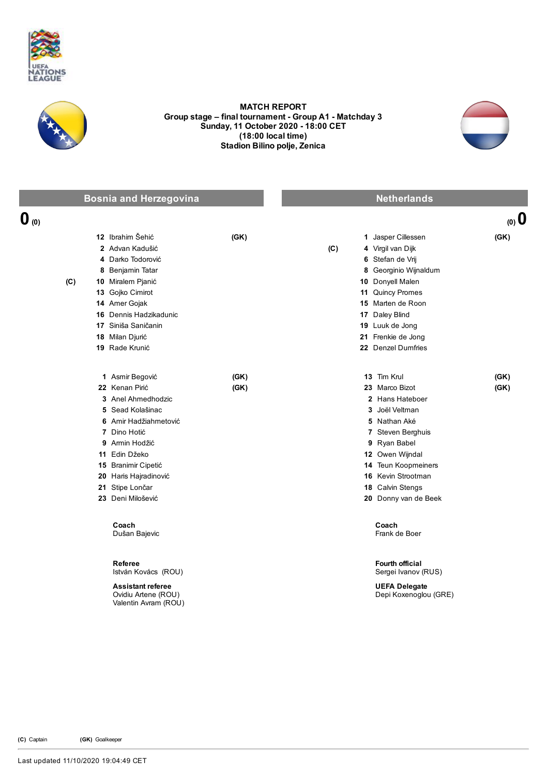



## MATCH REPORT Group stage - final tournament - Group A1 - Matchday 3 Sunday, 11 October 2020 - 18:00 CET (18:00 local time) Stadion Bilino polje, Zenica

**O**(0) (0) (0)



Bosnia and Herzegovina Netherlands Netherlands

## 12 Ibrahim Šehić (GK) 2 Advan Kadušić 4 Darko Todorović 8 Benjamin Tatar (C) 10 Miralem Pjanić 13 Gojko Cimirot 14 Amer Gojak 16 Dennis Hadzikadunic 17 Siniša Saničanin 18 Milan Djurić 19 Rade Krunić 1 Jasper Cillessen (GK) (C) 4 Virgil van Dijk 6 Stefan de Vrij 8 Georginio Wijnaldum 10 Donyell Malen 11 Quincy Promes 15 Marten de Roon 17 Daley Blind 19 Luuk de Jong 21 Frenkie de Jong 22 Denzel Dumfries 1 Asmir Begović (GK) 22 Kenan Pirić (GK) 3 Anel Ahmedhodzic 5 Sead Kolašinac 6 Amir Hadžiahmetović 7 Dino Hotić 9 Armin Hodžić 11 Edin Džeko 15 Branimir Cipetić 20 Haris Hajradinović 21 Stipe Lončar 23 Deni Milošević 13 Tim Krul (GK) 23 Marco Bizot (GK) 2 Hans Hateboer 3 Joël Veltman 5 Nathan Aké 7 Steven Berghuis 9 Ryan Babel 12 Owen Wijndal 14 Teun Koopmeiners 16 Kevin Strootman 18 Calvin Stengs 20 Donny van de Beek Coach Dušan Bajevic Coach Frank de Boer Referee István Kovács (ROU) Fourth official Sergei Ivanov (RUS) Assistant referee Ovidiu Artene (ROU) UEFA Delegate Depi Koxenoglou (GRE)

Valentin Avram (ROU)